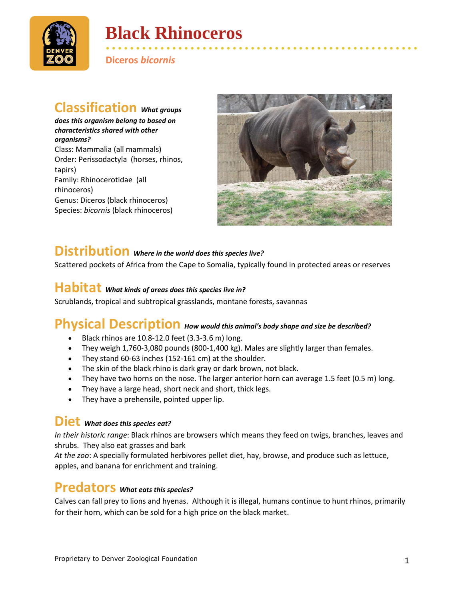

# **Black Rhinoceros**

• • • • • • • • • • • • • • • • • • • • • • • • • • • • • • • • • • • • • • • • • • • • • • • • • • • • **Diceros** *bicornis*

## **Classification** *What groups*

*does this organism belong to based on characteristics shared with other organisms?* Class: Mammalia (all mammals) Order: Perissodactyla (horses, rhinos, tapirs) Family: Rhinocerotidae (all rhinoceros) Genus: Diceros (black rhinoceros) Species: *bicornis* (black rhinoceros)



## **Distribution** *Where in the world does this species live?*

Scattered pockets of Africa from the Cape to Somalia, typically found in protected areas or reserves

## **Habitat** *What kinds of areas does this species live in?*

Scrublands, tropical and subtropical grasslands, montane forests, savannas

#### **Physical Description** *How would this animal's body shape and size be described?*

- Black rhinos are 10.8-12.0 feet (3.3-3.6 m) long.
- They weigh 1,760-3,080 pounds (800-1,400 kg). Males are slightly larger than females.
- They stand 60-63 inches (152-161 cm) at the shoulder.
- The skin of the black rhino is dark gray or dark brown, not black.
- They have two horns on the nose. The larger anterior horn can average 1.5 feet (0.5 m) long.
- They have a large head, short neck and short, thick legs.
- They have a prehensile, pointed upper lip.

#### **Diet** *What does this species eat?*

*In their historic range*: Black rhinos are browsers which means they feed on twigs, branches, leaves and shrubs. They also eat grasses and bark

*At the zoo*: A specially formulated herbivores pellet diet, hay, browse, and produce such as lettuce, apples, and banana for enrichment and training.

#### **Predators** *What eats this species?*

Calves can fall prey to lions and hyenas. Although it is illegal, humans continue to hunt rhinos, primarily for their horn, which can be sold for a high price on the black market.